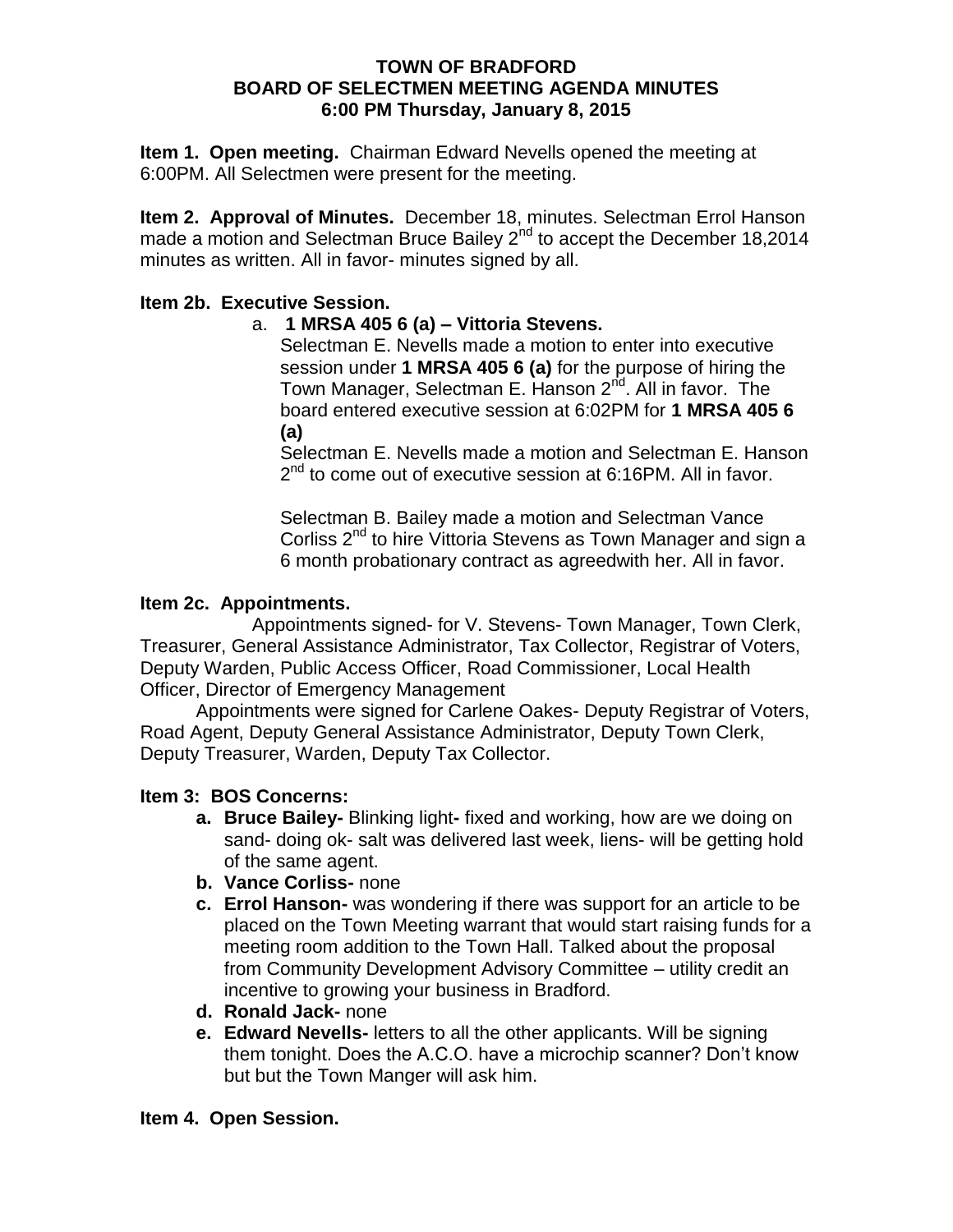#### **TOWN OF BRADFORD BOARD OF SELECTMEN MEETING AGENDA MINUTES 6:00 PM Thursday, January 8, 2015**

**Item 1. Open meeting.** Chairman Edward Nevells opened the meeting at 6:00PM. All Selectmen were present for the meeting.

**Item 2. Approval of Minutes.** December 18, minutes. Selectman Errol Hanson made a motion and Selectman Bruce Bailey  $2^{nd}$  to accept the December 18,2014 minutes as written. All in favor- minutes signed by all.

### **Item 2b. Executive Session.**

### a. **1 MRSA 405 6 (a) – Vittoria Stevens.**

Selectman E. Nevells made a motion to enter into executive session under **1 MRSA 405 6 (a)** for the purpose of hiring the Town Manager, Selectman E. Hanson 2<sup>nd</sup>. All in favor. The board entered executive session at 6:02PM for **1 MRSA 405 6 (a)** 

Selectman E. Nevells made a motion and Selectman E. Hanson 2<sup>nd</sup> to come out of executive session at 6:16PM. All in favor.

Selectman B. Bailey made a motion and Selectman Vance Corliss  $2^{nd}$  to hire Vittoria Stevens as Town Manager and sign a 6 month probationary contract as agreedwith her. All in favor.

### **Item 2c. Appointments.**

Appointments signed- for V. Stevens- Town Manager, Town Clerk, Treasurer, General Assistance Administrator, Tax Collector, Registrar of Voters, Deputy Warden, Public Access Officer, Road Commissioner, Local Health Officer, Director of Emergency Management

Appointments were signed for Carlene Oakes- Deputy Registrar of Voters, Road Agent, Deputy General Assistance Administrator, Deputy Town Clerk, Deputy Treasurer, Warden, Deputy Tax Collector.

# **Item 3: BOS Concerns:**

- **a. Bruce Bailey-** Blinking light**-** fixed and working, how are we doing on sand- doing ok- salt was delivered last week, liens- will be getting hold of the same agent.
- **b. Vance Corliss-** none
- **c. Errol Hanson-** was wondering if there was support for an article to be placed on the Town Meeting warrant that would start raising funds for a meeting room addition to the Town Hall. Talked about the proposal from Community Development Advisory Committee – utility credit an incentive to growing your business in Bradford.
- **d. Ronald Jack-** none
- **e. Edward Nevells-** letters to all the other applicants. Will be signing them tonight. Does the A.C.O. have a microchip scanner? Don't know but but the Town Manger will ask him.

### **Item 4. Open Session.**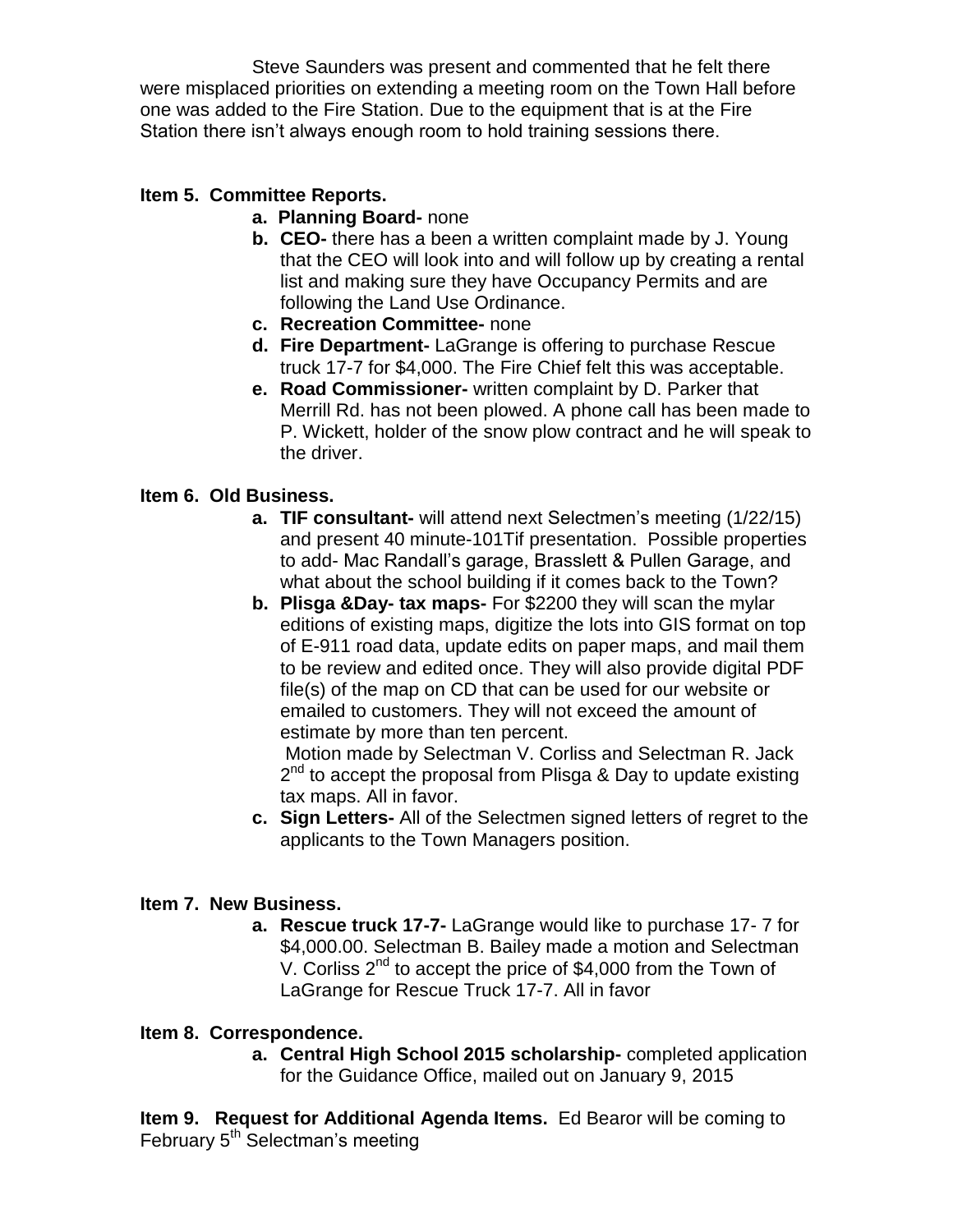Steve Saunders was present and commented that he felt there were misplaced priorities on extending a meeting room on the Town Hall before one was added to the Fire Station. Due to the equipment that is at the Fire Station there isn't always enough room to hold training sessions there.

# **Item 5. Committee Reports.**

- **a. Planning Board-** none
- **b. CEO-** there has a been a written complaint made by J. Young that the CEO will look into and will follow up by creating a rental list and making sure they have Occupancy Permits and are following the Land Use Ordinance.
- **c. Recreation Committee-** none
- **d. Fire Department-** LaGrange is offering to purchase Rescue truck 17-7 for \$4,000. The Fire Chief felt this was acceptable.
- **e. Road Commissioner-** written complaint by D. Parker that Merrill Rd. has not been plowed. A phone call has been made to P. Wickett, holder of the snow plow contract and he will speak to the driver.

# **Item 6. Old Business.**

- **a. TIF consultant-** will attend next Selectmen's meeting (1/22/15) and present 40 minute-101Tif presentation. Possible properties to add- Mac Randall's garage, Brasslett & Pullen Garage, and what about the school building if it comes back to the Town?
- **b. Plisga &Day- tax maps-** For \$2200 they will scan the mylar editions of existing maps, digitize the lots into GIS format on top of E-911 road data, update edits on paper maps, and mail them to be review and edited once. They will also provide digital PDF file(s) of the map on CD that can be used for our website or emailed to customers. They will not exceed the amount of estimate by more than ten percent.

Motion made by Selectman V. Corliss and Selectman R. Jack 2<sup>nd</sup> to accept the proposal from Plisga & Day to update existing tax maps. All in favor.

**c. Sign Letters-** All of the Selectmen signed letters of regret to the applicants to the Town Managers position.

### **Item 7. New Business.**

**a. Rescue truck 17-7-** LaGrange would like to purchase 17- 7 for \$4,000.00. Selectman B. Bailey made a motion and Selectman V. Corliss 2<sup>nd</sup> to accept the price of \$4,000 from the Town of LaGrange for Rescue Truck 17-7. All in favor

### **Item 8. Correspondence.**

**a. Central High School 2015 scholarship-** completed application for the Guidance Office, mailed out on January 9, 2015

**Item 9. Request for Additional Agenda Items.** Ed Bearor will be coming to February 5<sup>th</sup> Selectman's meeting